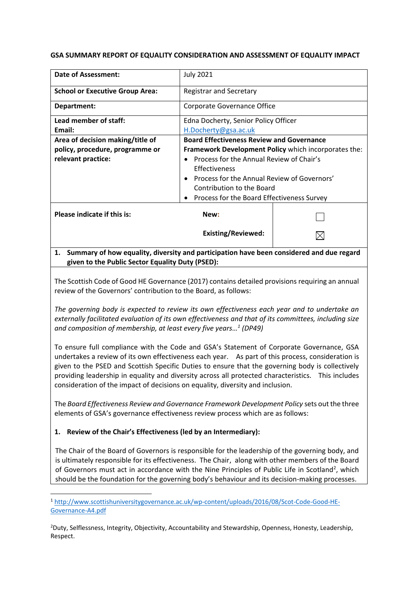#### **GSA SUMMARY REPORT OF EQUALITY CONSIDERATION AND ASSESSMENT OF EQUALITY IMPACT**

| <b>Date of Assessment:</b>             | <b>July 2021</b>                                      |  |
|----------------------------------------|-------------------------------------------------------|--|
| <b>School or Executive Group Area:</b> | <b>Registrar and Secretary</b>                        |  |
| Department:                            | Corporate Governance Office                           |  |
| Lead member of staff:                  | Edna Docherty, Senior Policy Officer                  |  |
| Email:                                 | H.Docherty@gsa.ac.uk                                  |  |
| Area of decision making/title of       | <b>Board Effectiveness Review and Governance</b>      |  |
| policy, procedure, programme or        | Framework Development Policy which incorporates the:  |  |
| relevant practice:                     | Process for the Annual Review of Chair's<br>$\bullet$ |  |
|                                        | Effectiveness                                         |  |
|                                        | Process for the Annual Review of Governors'           |  |
|                                        | Contribution to the Board                             |  |
|                                        | Process for the Board Effectiveness Survey            |  |
| Please indicate if this is:            | New:                                                  |  |
|                                        | <b>Existing/Reviewed:</b>                             |  |
|                                        |                                                       |  |

# **1. Summary of how equality, diversity and participation have been considered and due regard given to the Public Sector Equality Duty (PSED):**

The Scottish Code of Good HE Governance (2017) contains detailed provisions requiring an annual review of the Governors' contribution to the Board, as follows:

*The governing body is expected to review its own effectiveness each year and to undertake an externally facilitated evaluation of its own effectiveness and that of its committees, including size and composition of membership, at least every five years… 1 (DP49)* 

To ensure full compliance with the Code and GSA's Statement of Corporate Governance, GSA undertakes a review of its own effectiveness each year. As part of this process, consideration is given to the PSED and Scottish Specific Duties to ensure that the governing body is collectively providing leadership in equality and diversity across all protected characteristics. This includes consideration of the impact of decisions on equality, diversity and inclusion.

The *Board Effectiveness Review and Governance Framework Development Policy* sets out the three elements of GSA's governance effectiveness review process which are as follows:

## **1. Review of the Chair's Effectiveness (led by an Intermediary):**

**.** 

The Chair of the Board of Governors is responsible for the leadership of the governing body, and is ultimately responsible for its effectiveness. The Chair, along with other members of the Board of Governors must act in accordance with the Nine Principles of Public Life in Scotland<sup>2</sup>, which should be the foundation for the governing body's behaviour and its decision-making processes.

<sup>2</sup>Duty, Selflessness, Integrity, Objectivity, Accountability and Stewardship, Openness, Honesty, Leadership, Respect.

<sup>1</sup> [http://www.scottishuniversitygovernance.ac.uk/wp-content/uploads/2016/08/Scot-Code-Good-HE-](http://www.scottishuniversitygovernance.ac.uk/wp-content/uploads/2016/08/Scot-Code-Good-HE-Governance-A4.pdf)[Governance-A4.pdf](http://www.scottishuniversitygovernance.ac.uk/wp-content/uploads/2016/08/Scot-Code-Good-HE-Governance-A4.pdf)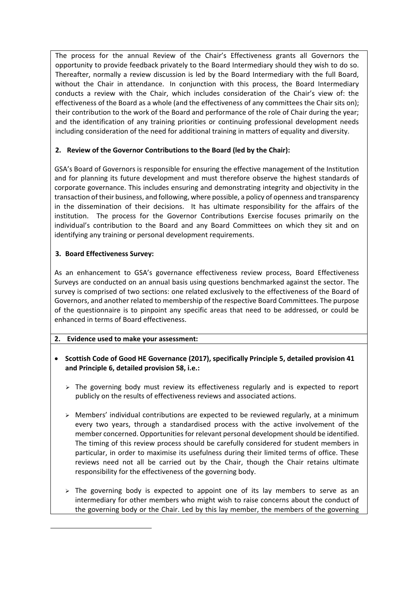The process for the annual Review of the Chair's Effectiveness grants all Governors the opportunity to provide feedback privately to the Board Intermediary should they wish to do so. Thereafter, normally a review discussion is led by the Board Intermediary with the full Board, without the Chair in attendance. In conjunction with this process, the Board Intermediary conducts a review with the Chair, which includes consideration of the Chair's view of: the effectiveness of the Board as a whole (and the effectiveness of any committees the Chair sits on); their contribution to the work of the Board and performance of the role of Chair during the year; and the identification of any training priorities or continuing professional development needs including consideration of the need for additional training in matters of equality and diversity.

# **2. Review of the Governor Contributions to the Board (led by the Chair):**

GSA's Board of Governors is responsible for ensuring the effective management of the Institution and for planning its future development and must therefore observe the highest standards of corporate governance. This includes ensuring and demonstrating integrity and objectivity in the transaction of their business, and following, where possible, a policy of openness and transparency in the dissemination of their decisions. It has ultimate responsibility for the affairs of the institution. The process for the Governor Contributions Exercise focuses primarily on the individual's contribution to the Board and any Board Committees on which they sit and on identifying any training or personal development requirements.

# **3. Board Effectiveness Survey:**

**.** 

As an enhancement to GSA's governance effectiveness review process, Board Effectiveness Surveys are conducted on an annual basis using questions benchmarked against the sector. The survey is comprised of two sections: one related exclusively to the effectiveness of the Board of Governors, and another related to membership of the respective Board Committees. The purpose of the questionnaire is to pinpoint any specific areas that need to be addressed, or could be enhanced in terms of Board effectiveness.

## **2. Evidence used to make your assessment:**

- **Scottish Code of Good HE Governance (2017), specifically Principle 5, detailed provision 41 and Principle 6, detailed provision 58, i.e.:**
	- ➢ The governing body must review its effectiveness regularly and is expected to report publicly on the results of effectiveness reviews and associated actions.
	- $\triangleright$  Members' individual contributions are expected to be reviewed regularly, at a minimum every two years, through a standardised process with the active involvement of the member concerned. Opportunities for relevant personal development should be identified. The timing of this review process should be carefully considered for student members in particular, in order to maximise its usefulness during their limited terms of office. These reviews need not all be carried out by the Chair, though the Chair retains ultimate responsibility for the effectiveness of the governing body.
	- $\triangleright$  The governing body is expected to appoint one of its lay members to serve as an intermediary for other members who might wish to raise concerns about the conduct of the governing body or the Chair. Led by this lay member, the members of the governing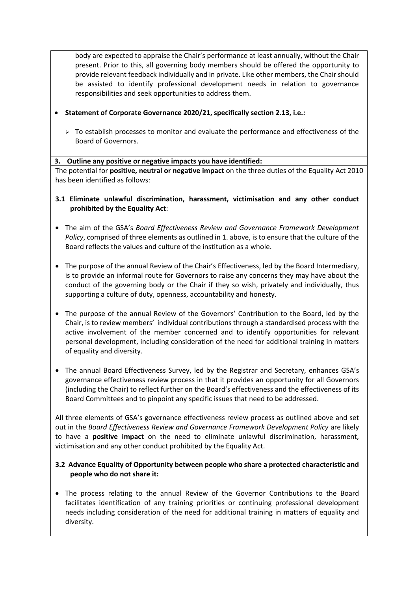body are expected to appraise the Chair's performance at least annually, without the Chair present. Prior to this, all governing body members should be offered the opportunity to provide relevant feedback individually and in private. Like other members, the Chair should be assisted to identify professional development needs in relation to governance responsibilities and seek opportunities to address them.

- **Statement of Corporate Governance 2020/21, specifically section 2.13, i.e.:**
	- $\triangleright$  To establish processes to monitor and evaluate the performance and effectiveness of the Board of Governors.

#### **3. Outline any positive or negative impacts you have identified:**

The potential for **positive, neutral or negative impact** on the three duties of the Equality Act 2010 has been identified as follows:

- **3.1 Eliminate unlawful discrimination, harassment, victimisation and any other conduct prohibited by the Equality Act**:
- The aim of the GSA's *Board Effectiveness Review and Governance Framework Development Policy*, comprised of three elements as outlined in 1. above, is to ensure that the culture of the Board reflects the values and culture of the institution as a whole.
- The purpose of the annual Review of the Chair's Effectiveness, led by the Board Intermediary, is to provide an informal route for Governors to raise any concerns they may have about the conduct of the governing body or the Chair if they so wish, privately and individually, thus supporting a culture of duty, openness, accountability and honesty.
- The purpose of the annual Review of the Governors' Contribution to the Board, led by the Chair, is to review members' individual contributions through a standardised process with the active involvement of the member concerned and to identify opportunities for relevant personal development, including consideration of the need for additional training in matters of equality and diversity.
- The annual Board Effectiveness Survey, led by the Registrar and Secretary, enhances GSA's governance effectiveness review process in that it provides an opportunity for all Governors (including the Chair) to reflect further on the Board's effectiveness and the effectiveness of its Board Committees and to pinpoint any specific issues that need to be addressed.

All three elements of GSA's governance effectiveness review process as outlined above and set out in the *Board Effectiveness Review and Governance Framework Development Policy* are likely to have a **positive impact** on the need to eliminate unlawful discrimination, harassment, victimisation and any other conduct prohibited by the Equality Act.

## **3.2 Advance Equality of Opportunity between people who share a protected characteristic and people who do not share it:**

• The process relating to the annual Review of the Governor Contributions to the Board facilitates identification of any training priorities or continuing professional development needs including consideration of the need for additional training in matters of equality and diversity.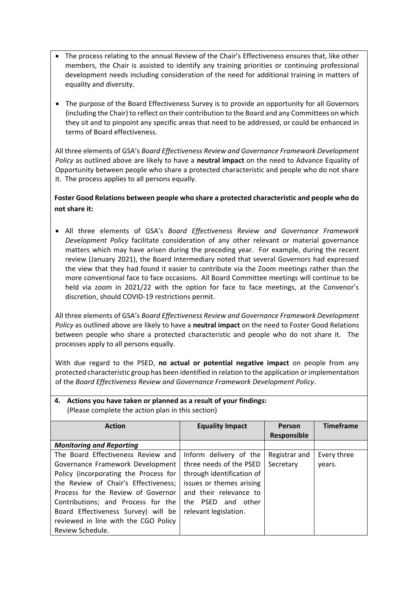- The process relating to the annual Review of the Chair's Effectiveness ensures that, like other members, the Chair is assisted to identify any training priorities or continuing professional development needs including consideration of the need for additional training in matters of equality and diversity.
- The purpose of the Board Effectiveness Survey is to provide an opportunity for all Governors (including the Chair) to reflect on their contribution to the Board and any Committees on which they sit and to pinpoint any specific areas that need to be addressed, or could be enhanced in terms of Board effectiveness.

All three elements of GSA's *Board Effectiveness Review and Governance Framework Development Policy* as outlined above are likely to have a **neutral impact** on the need to Advance Equality of Opportunity between people who share a protected characteristic and people who do not share it. The process applies to all persons equally.

# **Foster Good Relations between people who share a protected characteristic and people who do not share it:**

• All three elements of GSA's *Board Effectiveness Review and Governance Framework Development Policy* facilitate consideration of any other relevant or material governance matters which may have arisen during the preceding year. For example, during the recent review (January 2021), the Board Intermediary noted that several Governors had expressed the view that they had found it easier to contribute via the Zoom meetings rather than the more conventional face to face occasions. All Board Committee meetings will continue to be held via zoom in 2021/22 with the option for face to face meetings, at the Convenor's discretion, should COVID-19 restrictions permit.

All three elements of GSA's *Board Effectiveness Review and Governance Framework Development Policy* as outlined above are likely to have a **neutral impact** on the need to Foster Good Relations between people who share a protected characteristic and people who do not share it. The processes apply to all persons equally.

With due regard to the PSED, **no actual or potential negative impact** on people from any protected characteristic group has been identified in relation to the application or implementation of the *Board Effectiveness Review and Governance Framework Development Policy*.

| (Please complete the action plan in this section) |                           |               |                  |  |
|---------------------------------------------------|---------------------------|---------------|------------------|--|
| <b>Action</b>                                     | <b>Equality Impact</b>    | Person        | <b>Timeframe</b> |  |
|                                                   |                           | Responsible   |                  |  |
| <b>Monitoring and Reporting</b>                   |                           |               |                  |  |
| The Board Effectiveness Review and                | Inform delivery of the    | Registrar and | Every three      |  |
| Governance Framework Development                  | three needs of the PSED   | Secretary     | years.           |  |
| Policy (incorporating the Process for             | through identification of |               |                  |  |
| the Review of Chair's Effectiveness:              | issues or themes arising  |               |                  |  |
| Process for the Review of Governor                | and their relevance to    |               |                  |  |
| Contributions; and Process for the                | the PSED and other        |               |                  |  |
| Board Effectiveness Survey) will be               | relevant legislation.     |               |                  |  |
| reviewed in line with the CGO Policy              |                           |               |                  |  |
| Review Schedule.                                  |                           |               |                  |  |

**4. Actions you have taken or planned as a result of your findings:**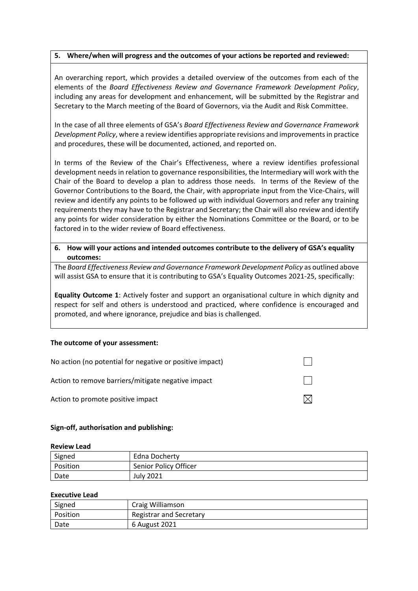#### **5. Where/when will progress and the outcomes of your actions be reported and reviewed:**

An overarching report, which provides a detailed overview of the outcomes from each of the elements of the *Board Effectiveness Review and Governance Framework Development Policy*, including any areas for development and enhancement, will be submitted by the Registrar and Secretary to the March meeting of the Board of Governors, via the Audit and Risk Committee.

In the case of all three elements of GSA's *Board Effectiveness Review and Governance Framework Development Policy*, where a review identifies appropriate revisions and improvements in practice and procedures, these will be documented, actioned, and reported on.

In terms of the Review of the Chair's Effectiveness, where a review identifies professional development needs in relation to governance responsibilities, the Intermediary will work with the Chair of the Board to develop a plan to address those needs. In terms of the Review of the Governor Contributions to the Board, the Chair, with appropriate input from the Vice-Chairs, will review and identify any points to be followed up with individual Governors and refer any training requirements they may have to the Registrar and Secretary; the Chair will also review and identify any points for wider consideration by either the Nominations Committee or the Board, or to be factored in to the wider review of Board effectiveness.

**6. How will your actions and intended outcomes contribute to the delivery of GSA's equality outcomes:**

The *Board Effectiveness Review and Governance Framework Development Policy* as outlined above will assist GSA to ensure that it is contributing to GSA's Equality Outcomes 2021-25, specifically:

**Equality Outcome 1**: Actively foster and support an organisational culture in which dignity and respect for self and others is understood and practiced, where confidence is encouraged and promoted, and where ignorance, prejudice and bias is challenged.

#### **The outcome of your assessment:**

| No action (no potential for negative or positive impact) |  |
|----------------------------------------------------------|--|
| Action to remove barriers/mitigate negative impact       |  |
| Action to promote positive impact                        |  |

#### **Sign-off, authorisation and publishing:**

#### **Review Lead**

| Signed   | Edna Docherty         |
|----------|-----------------------|
| Position | Senior Policy Officer |
| Date     | <b>July 2021</b>      |

#### **Executive Lead**

| Signed   | Craig Williamson        |
|----------|-------------------------|
| Position | Registrar and Secretary |
| Date     | 6 August 2021           |